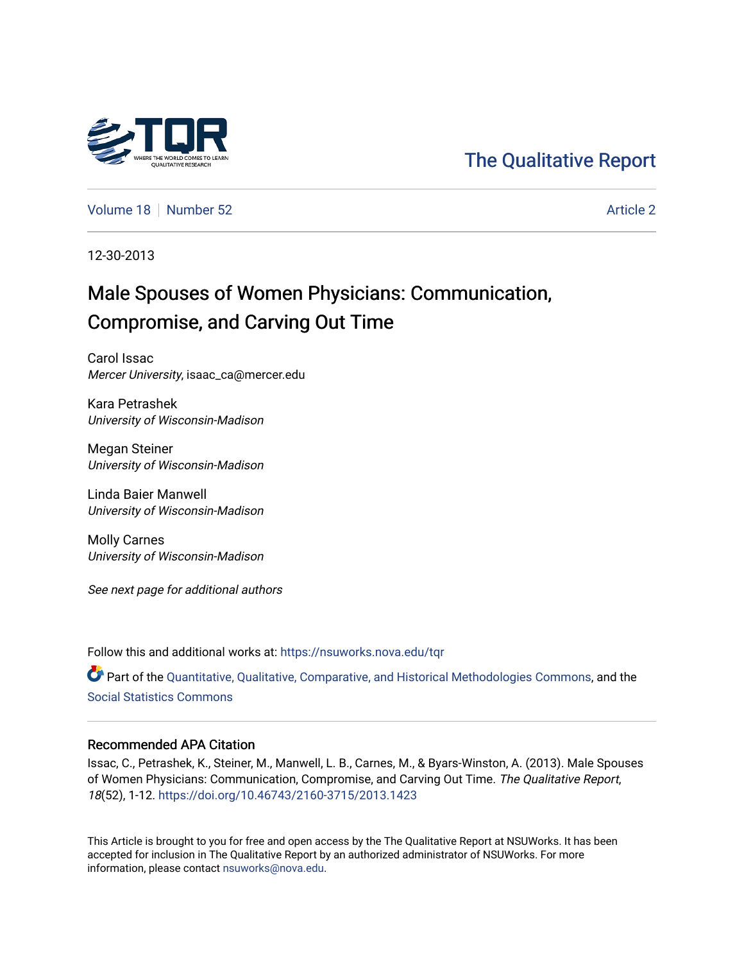

# [The Qualitative Report](https://nsuworks.nova.edu/tqr)

[Volume 18](https://nsuworks.nova.edu/tqr/vol18) [Number 52](https://nsuworks.nova.edu/tqr/vol18/iss52) Article 2

12-30-2013

# Male Spouses of Women Physicians: Communication, Compromise, and Carving Out Time

Carol Issac Mercer University, isaac\_ca@mercer.edu

Kara Petrashek University of Wisconsin-Madison

Megan Steiner University of Wisconsin-Madison

Linda Baier Manwell University of Wisconsin-Madison

Molly Carnes University of Wisconsin-Madison

See next page for additional authors

Follow this and additional works at: [https://nsuworks.nova.edu/tqr](https://nsuworks.nova.edu/tqr?utm_source=nsuworks.nova.edu%2Ftqr%2Fvol18%2Fiss52%2F2&utm_medium=PDF&utm_campaign=PDFCoverPages) 

Part of the [Quantitative, Qualitative, Comparative, and Historical Methodologies Commons,](http://network.bepress.com/hgg/discipline/423?utm_source=nsuworks.nova.edu%2Ftqr%2Fvol18%2Fiss52%2F2&utm_medium=PDF&utm_campaign=PDFCoverPages) and the [Social Statistics Commons](http://network.bepress.com/hgg/discipline/1275?utm_source=nsuworks.nova.edu%2Ftqr%2Fvol18%2Fiss52%2F2&utm_medium=PDF&utm_campaign=PDFCoverPages) 

## Recommended APA Citation

Issac, C., Petrashek, K., Steiner, M., Manwell, L. B., Carnes, M., & Byars-Winston, A. (2013). Male Spouses of Women Physicians: Communication, Compromise, and Carving Out Time. The Qualitative Report, 18(52), 1-12. <https://doi.org/10.46743/2160-3715/2013.1423>

This Article is brought to you for free and open access by the The Qualitative Report at NSUWorks. It has been accepted for inclusion in The Qualitative Report by an authorized administrator of NSUWorks. For more information, please contact [nsuworks@nova.edu.](mailto:nsuworks@nova.edu)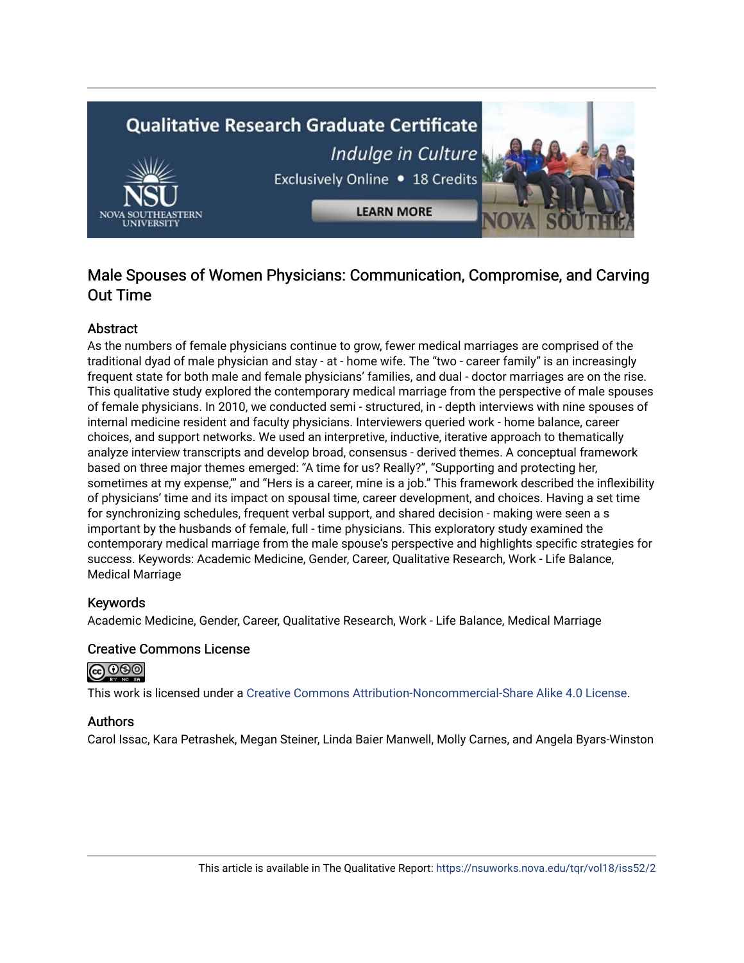

# Male Spouses of Women Physicians: Communication, Compromise, and Carving Out Time

# Abstract

As the numbers of female physicians continue to grow, fewer medical marriages are comprised of the traditional dyad of male physician and stay - at - home wife. The "two - career family" is an increasingly frequent state for both male and female physicians' families, and dual - doctor marriages are on the rise. This qualitative study explored the contemporary medical marriage from the perspective of male spouses of female physicians. In 2010, we conducted semi - structured, in - depth interviews with nine spouses of internal medicine resident and faculty physicians. Interviewers queried work - home balance, career choices, and support networks. We used an interpretive, inductive, iterative approach to thematically analyze interview transcripts and develop broad, consensus - derived themes. A conceptual framework based on three major themes emerged: "A time for us? Really?", "Supporting and protecting her, sometimes at my expense,'" and "Hers is a career, mine is a job." This framework described the inflexibility of physicians' time and its impact on spousal time, career development, and choices. Having a set time for synchronizing schedules, frequent verbal support, and shared decision - making were seen a s important by the husbands of female, full - time physicians. This exploratory study examined the contemporary medical marriage from the male spouse's perspective and highlights specific strategies for success. Keywords: Academic Medicine, Gender, Career, Qualitative Research, Work - Life Balance, Medical Marriage

# Keywords

Academic Medicine, Gender, Career, Qualitative Research, Work - Life Balance, Medical Marriage

## Creative Commons License



This work is licensed under a [Creative Commons Attribution-Noncommercial-Share Alike 4.0 License](https://creativecommons.org/licenses/by-nc-sa/4.0/).

## Authors

Carol Issac, Kara Petrashek, Megan Steiner, Linda Baier Manwell, Molly Carnes, and Angela Byars-Winston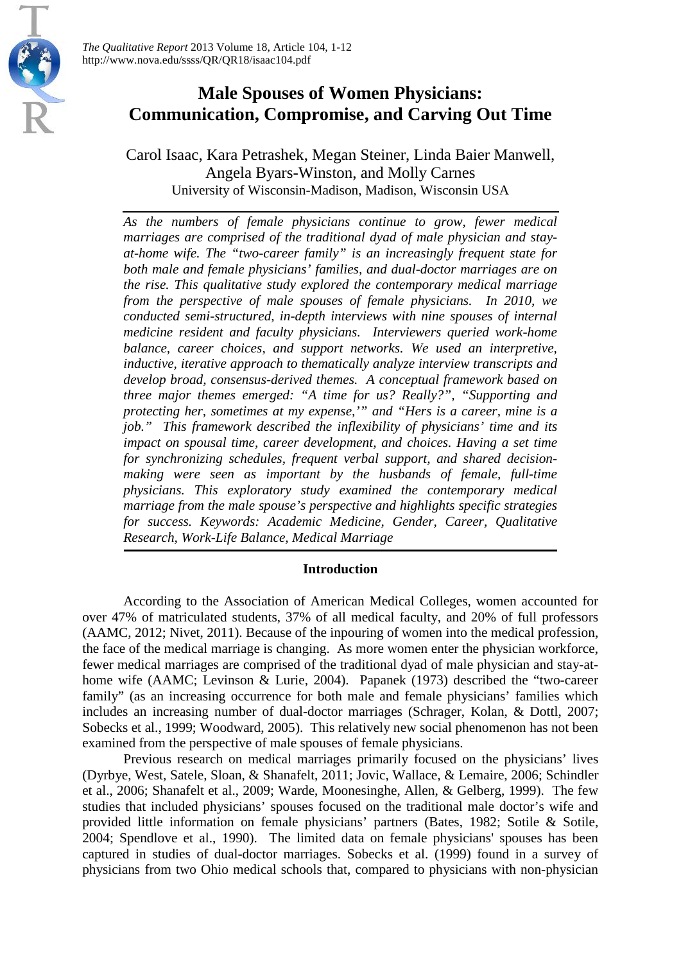

# **Male Spouses of Women Physicians: Communication, Compromise, and Carving Out Time**

Carol Isaac, Kara Petrashek, Megan Steiner, Linda Baier Manwell, Angela Byars-Winston, and Molly Carnes University of Wisconsin-Madison, Madison, Wisconsin USA

*As the numbers of female physicians continue to grow, fewer medical marriages are comprised of the traditional dyad of male physician and stayat-home wife. The "two-career family" is an increasingly frequent state for both male and female physicians' families, and dual-doctor marriages are on the rise. This qualitative study explored the contemporary medical marriage from the perspective of male spouses of female physicians. In 2010, we conducted semi-structured, in-depth interviews with nine spouses of internal medicine resident and faculty physicians. Interviewers queried work-home balance, career choices, and support networks. We used an interpretive, inductive, iterative approach to thematically analyze interview transcripts and develop broad, consensus-derived themes. A conceptual framework based on three major themes emerged: "A time for us? Really?", "Supporting and protecting her, sometimes at my expense,'" and "Hers is a career, mine is a job." This framework described the inflexibility of physicians' time and its impact on spousal time, career development, and choices. Having a set time for synchronizing schedules, frequent verbal support, and shared decisionmaking were seen as important by the husbands of female, full-time physicians. This exploratory study examined the contemporary medical marriage from the male spouse's perspective and highlights specific strategies for success. Keywords: Academic Medicine, Gender, Career, Qualitative Research, Work-Life Balance, Medical Marriage*

# **Introduction**

According to the Association of American Medical Colleges, women accounted for over 47% of matriculated students, 37% of all medical faculty, and 20% of full professors (AAMC, 2012; Nivet, 2011). Because of the inpouring of women into the medical profession, the face of the medical marriage is changing. As more women enter the physician workforce, fewer medical marriages are comprised of the traditional dyad of male physician and stay-athome wife (AAMC; Levinson & Lurie, 2004). Papanek (1973) described the "two-career family" (as an increasing occurrence for both male and female physicians' families which includes an increasing number of dual-doctor marriages (Schrager, Kolan, & Dottl, 2007; Sobecks et al., 1999; Woodward, 2005). This relatively new social phenomenon has not been examined from the perspective of male spouses of female physicians.

Previous research on medical marriages primarily focused on the physicians' lives (Dyrbye, West, Satele, Sloan, & Shanafelt, 2011; Jovic, Wallace, & Lemaire, 2006; Schindler et al., 2006; Shanafelt et al., 2009; Warde, Moonesinghe, Allen, & Gelberg, 1999). The few studies that included physicians' spouses focused on the traditional male doctor's wife and provided little information on female physicians' partners (Bates, 1982; Sotile & Sotile, 2004; Spendlove et al., 1990). The limited data on female physicians' spouses has been captured in studies of dual-doctor marriages. Sobecks et al. (1999) found in a survey of physicians from two Ohio medical schools that, compared to physicians with non-physician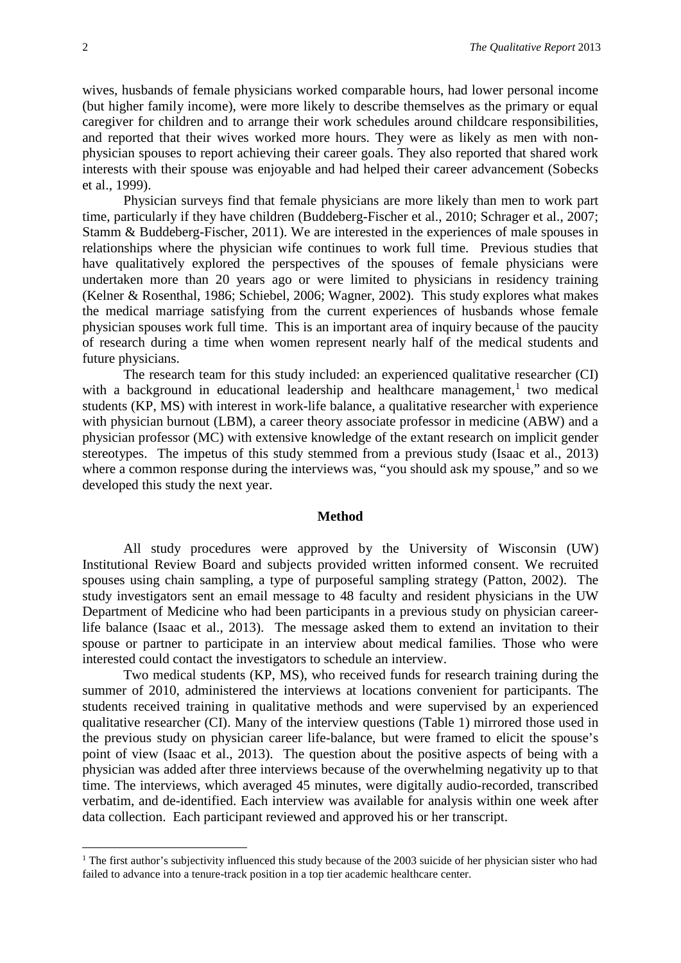wives, husbands of female physicians worked comparable hours, had lower personal income (but higher family income), were more likely to describe themselves as the primary or equal caregiver for children and to arrange their work schedules around childcare responsibilities, and reported that their wives worked more hours. They were as likely as men with nonphysician spouses to report achieving their career goals. They also reported that shared work interests with their spouse was enjoyable and had helped their career advancement (Sobecks et al., 1999).

Physician surveys find that female physicians are more likely than men to work part time, particularly if they have children (Buddeberg-Fischer et al., 2010; Schrager et al., 2007; Stamm & Buddeberg-Fischer, 2011). We are interested in the experiences of male spouses in relationships where the physician wife continues to work full time. Previous studies that have qualitatively explored the perspectives of the spouses of female physicians were undertaken more than 20 years ago or were limited to physicians in residency training (Kelner & Rosenthal, 1986; Schiebel, 2006; Wagner, 2002). This study explores what makes the medical marriage satisfying from the current experiences of husbands whose female physician spouses work full time. This is an important area of inquiry because of the paucity of research during a time when women represent nearly half of the medical students and future physicians.

The research team for this study included: an experienced qualitative researcher (CI) with a background in educational leadership and healthcare management,<sup>[1](#page-3-0)</sup> two medical students (KP, MS) with interest in work-life balance, a qualitative researcher with experience with physician burnout (LBM), a career theory associate professor in medicine (ABW) and a physician professor (MC) with extensive knowledge of the extant research on implicit gender stereotypes. The impetus of this study stemmed from a previous study (Isaac et al., 2013) where a common response during the interviews was, "you should ask my spouse," and so we developed this study the next year.

#### **Method**

All study procedures were approved by the University of Wisconsin (UW) Institutional Review Board and subjects provided written informed consent. We recruited spouses using chain sampling, a type of purposeful sampling strategy (Patton, 2002). The study investigators sent an email message to 48 faculty and resident physicians in the UW Department of Medicine who had been participants in a previous study on physician careerlife balance (Isaac et al., 2013). The message asked them to extend an invitation to their spouse or partner to participate in an interview about medical families. Those who were interested could contact the investigators to schedule an interview.

Two medical students (KP, MS), who received funds for research training during the summer of 2010, administered the interviews at locations convenient for participants. The students received training in qualitative methods and were supervised by an experienced qualitative researcher (CI). Many of the interview questions (Table 1) mirrored those used in the previous study on physician career life-balance, but were framed to elicit the spouse's point of view (Isaac et al., 2013). The question about the positive aspects of being with a physician was added after three interviews because of the overwhelming negativity up to that time. The interviews, which averaged 45 minutes, were digitally audio-recorded, transcribed verbatim, and de-identified. Each interview was available for analysis within one week after data collection. Each participant reviewed and approved his or her transcript.

 $\overline{a}$ 

<span id="page-3-0"></span><sup>&</sup>lt;sup>1</sup> The first author's subjectivity influenced this study because of the 2003 suicide of her physician sister who had failed to advance into a tenure-track position in a top tier academic healthcare center.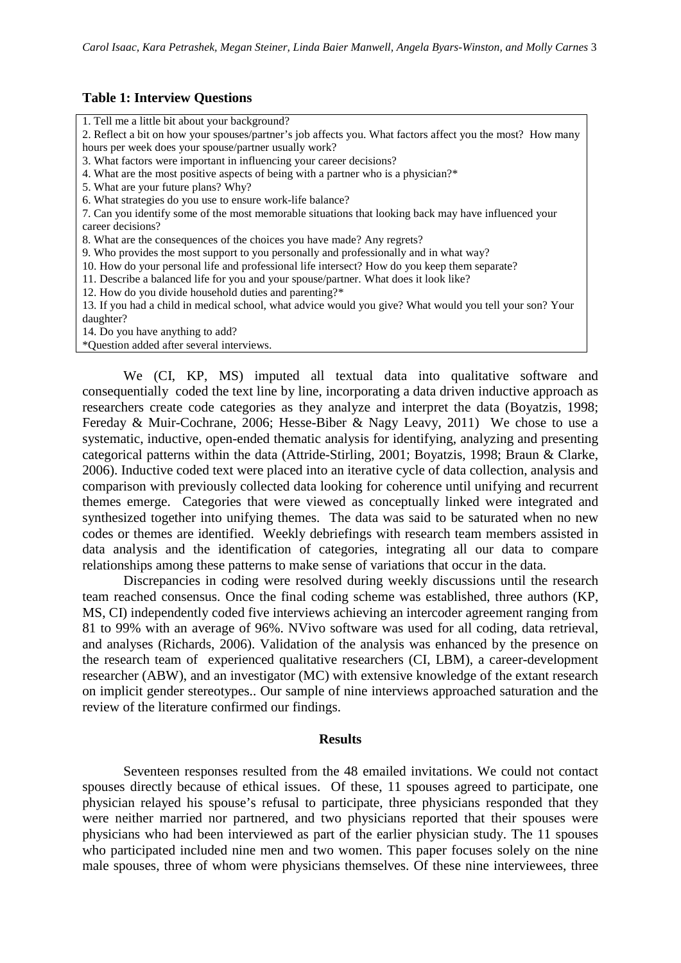#### **Table 1: Interview Questions**

1. Tell me a little bit about your background? 2. Reflect a bit on how your spouses/partner's job affects you. What factors affect you the most? How many hours per week does your spouse/partner usually work? 3. What factors were important in influencing your career decisions? 4. What are the most positive aspects of being with a partner who is a physician?\* 5. What are your future plans? Why? 6. What strategies do you use to ensure work-life balance? 7. Can you identify some of the most memorable situations that looking back may have influenced your career decisions? 8. What are the consequences of the choices you have made? Any regrets? 9. Who provides the most support to you personally and professionally and in what way? 10. How do your personal life and professional life intersect? How do you keep them separate? 11. Describe a balanced life for you and your spouse/partner. What does it look like? 12. How do you divide household duties and parenting?\* 13. If you had a child in medical school, what advice would you give? What would you tell your son? Your daughter? 14. Do you have anything to add? \*Question added after several interviews.

We (CI, KP, MS) imputed all textual data into qualitative software and consequentially coded the text line by line, incorporating a data driven inductive approach as researchers create code categories as they analyze and interpret the data (Boyatzis, 1998; Fereday & Muir-Cochrane, 2006; Hesse-Biber & Nagy Leavy, 2011) We chose to use a systematic, inductive, open-ended thematic analysis for identifying, analyzing and presenting categorical patterns within the data (Attride-Stirling, 2001; Boyatzis, 1998; Braun & Clarke, 2006). Inductive coded text were placed into an iterative cycle of data collection, analysis and comparison with previously collected data looking for coherence until unifying and recurrent themes emerge. Categories that were viewed as conceptually linked were integrated and synthesized together into unifying themes. The data was said to be saturated when no new codes or themes are identified. Weekly debriefings with research team members assisted in data analysis and the identification of categories, integrating all our data to compare relationships among these patterns to make sense of variations that occur in the data.

Discrepancies in coding were resolved during weekly discussions until the research team reached consensus. Once the final coding scheme was established, three authors (KP, MS, CI) independently coded five interviews achieving an intercoder agreement ranging from 81 to 99% with an average of 96%. NVivo software was used for all coding, data retrieval, and analyses (Richards, 2006). Validation of the analysis was enhanced by the presence on the research team of experienced qualitative researchers (CI, LBM), a career-development researcher (ABW), and an investigator (MC) with extensive knowledge of the extant research on implicit gender stereotypes.. Our sample of nine interviews approached saturation and the review of the literature confirmed our findings.

#### **Results**

Seventeen responses resulted from the 48 emailed invitations. We could not contact spouses directly because of ethical issues. Of these, 11 spouses agreed to participate, one physician relayed his spouse's refusal to participate, three physicians responded that they were neither married nor partnered, and two physicians reported that their spouses were physicians who had been interviewed as part of the earlier physician study. The 11 spouses who participated included nine men and two women. This paper focuses solely on the nine male spouses, three of whom were physicians themselves. Of these nine interviewees, three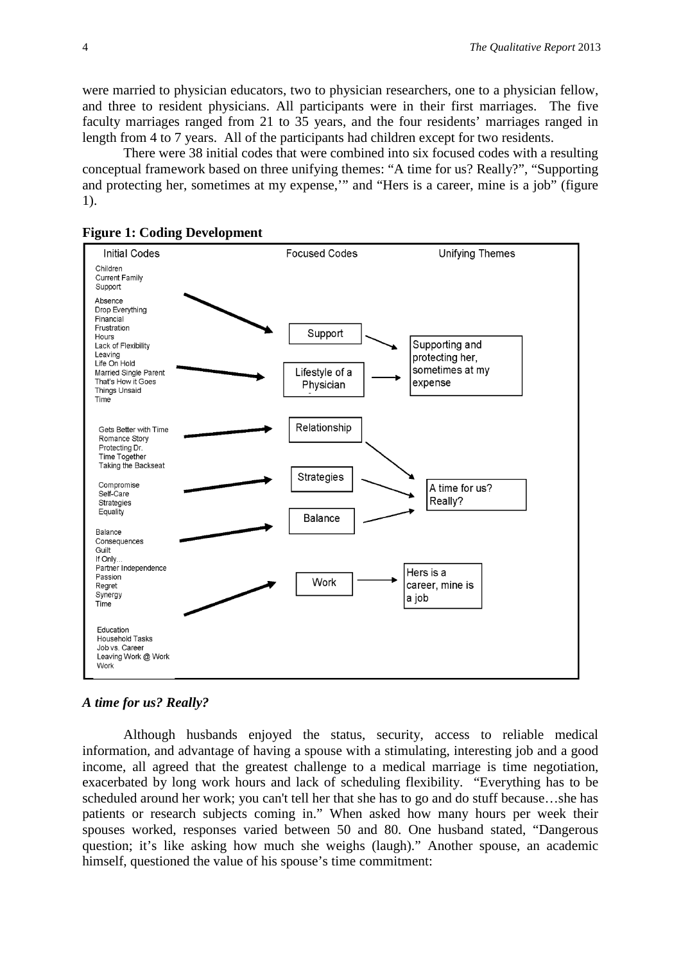were married to physician educators, two to physician researchers, one to a physician fellow, and three to resident physicians. All participants were in their first marriages. The five faculty marriages ranged from 21 to 35 years, and the four residents' marriages ranged in length from 4 to 7 years. All of the participants had children except for two residents.

There were 38 initial codes that were combined into six focused codes with a resulting conceptual framework based on three unifying themes: "A time for us? Really?", "Supporting and protecting her, sometimes at my expense,'" and "Hers is a career, mine is a job" (figure 1).





# *A time for us? Really?*

Although husbands enjoyed the status, security, access to reliable medical information, and advantage of having a spouse with a stimulating, interesting job and a good income, all agreed that the greatest challenge to a medical marriage is time negotiation, exacerbated by long work hours and lack of scheduling flexibility. "Everything has to be scheduled around her work; you can't tell her that she has to go and do stuff because…she has patients or research subjects coming in." When asked how many hours per week their spouses worked, responses varied between 50 and 80. One husband stated, "Dangerous question; it's like asking how much she weighs (laugh)." Another spouse, an academic himself, questioned the value of his spouse's time commitment: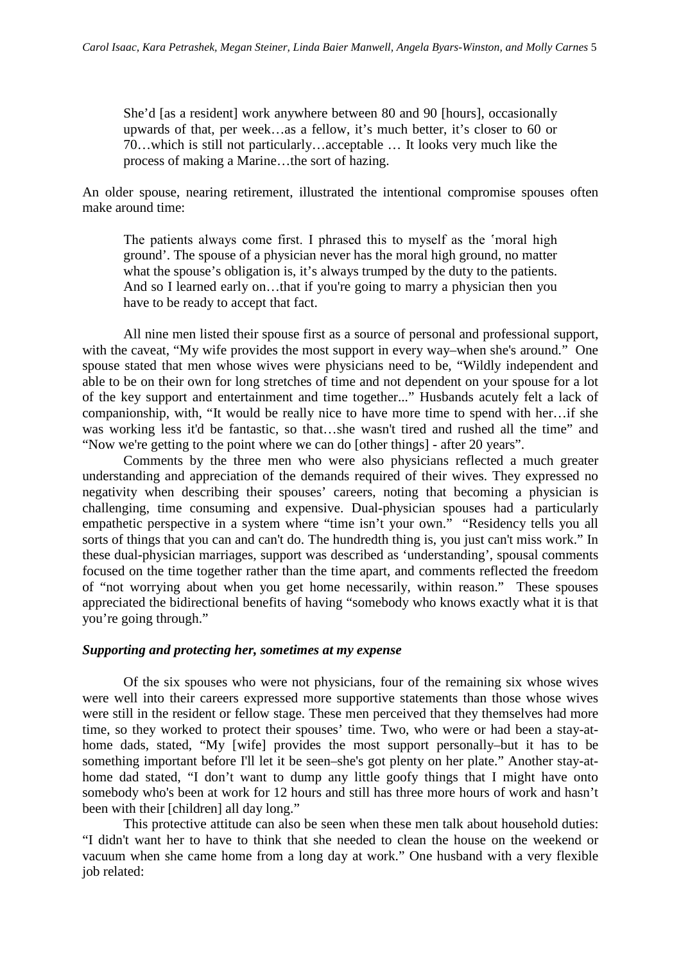She'd [as a resident] work anywhere between 80 and 90 [hours], occasionally upwards of that, per week…as a fellow, it's much better, it's closer to 60 or 70…which is still not particularly…acceptable … It looks very much like the process of making a Marine…the sort of hazing.

An older spouse, nearing retirement, illustrated the intentional compromise spouses often make around time:

The patients always come first. I phrased this to myself as the 'moral high ground'. The spouse of a physician never has the moral high ground, no matter what the spouse's obligation is, it's always trumped by the duty to the patients. And so I learned early on...that if you're going to marry a physician then you have to be ready to accept that fact.

All nine men listed their spouse first as a source of personal and professional support, with the caveat, "My wife provides the most support in every way–when she's around." One spouse stated that men whose wives were physicians need to be, "Wildly independent and able to be on their own for long stretches of time and not dependent on your spouse for a lot of the key support and entertainment and time together..." Husbands acutely felt a lack of companionship, with, "It would be really nice to have more time to spend with her…if she was working less it'd be fantastic, so that…she wasn't tired and rushed all the time" and "Now we're getting to the point where we can do [other things] - after 20 years".

Comments by the three men who were also physicians reflected a much greater understanding and appreciation of the demands required of their wives. They expressed no negativity when describing their spouses' careers, noting that becoming a physician is challenging, time consuming and expensive. Dual-physician spouses had a particularly empathetic perspective in a system where "time isn't your own." "Residency tells you all sorts of things that you can and can't do. The hundredth thing is, you just can't miss work." In these dual-physician marriages, support was described as 'understanding', spousal comments focused on the time together rather than the time apart, and comments reflected the freedom of "not worrying about when you get home necessarily, within reason." These spouses appreciated the bidirectional benefits of having "somebody who knows exactly what it is that you're going through."

# *Supporting and protecting her, sometimes at my expense*

Of the six spouses who were not physicians, four of the remaining six whose wives were well into their careers expressed more supportive statements than those whose wives were still in the resident or fellow stage. These men perceived that they themselves had more time, so they worked to protect their spouses' time. Two, who were or had been a stay-athome dads, stated, "My [wife] provides the most support personally–but it has to be something important before I'll let it be seen–she's got plenty on her plate." Another stay-athome dad stated, "I don't want to dump any little goofy things that I might have onto somebody who's been at work for 12 hours and still has three more hours of work and hasn't been with their [children] all day long."

This protective attitude can also be seen when these men talk about household duties: "I didn't want her to have to think that she needed to clean the house on the weekend or vacuum when she came home from a long day at work." One husband with a very flexible job related: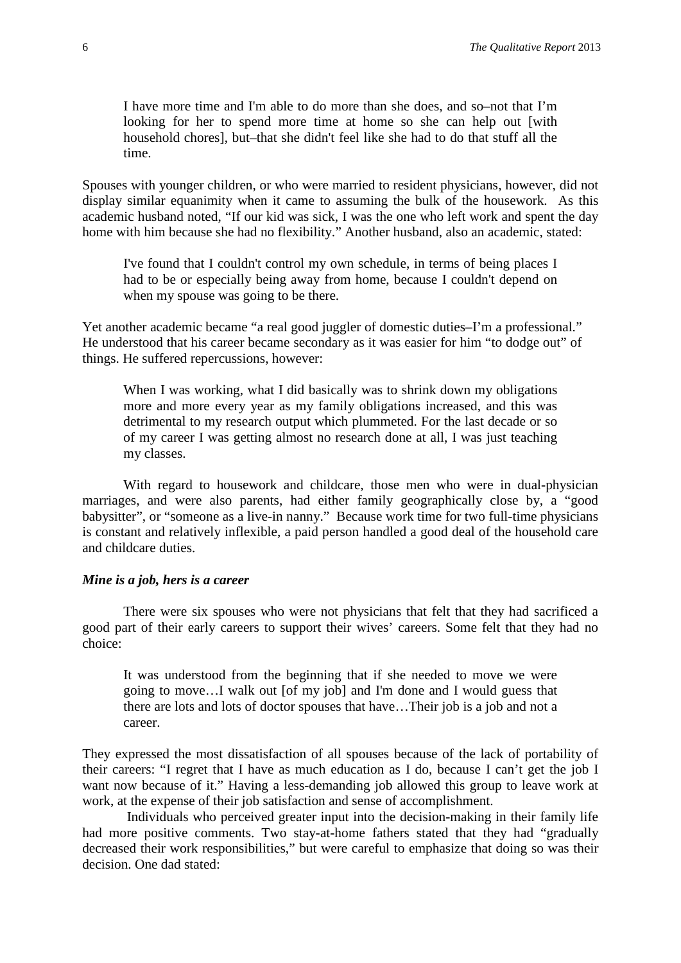I have more time and I'm able to do more than she does, and so–not that I'm looking for her to spend more time at home so she can help out [with] household chores], but–that she didn't feel like she had to do that stuff all the time.

Spouses with younger children, or who were married to resident physicians, however, did not display similar equanimity when it came to assuming the bulk of the housework. As this academic husband noted, "If our kid was sick, I was the one who left work and spent the day home with him because she had no flexibility." Another husband, also an academic, stated:

I've found that I couldn't control my own schedule, in terms of being places I had to be or especially being away from home, because I couldn't depend on when my spouse was going to be there.

Yet another academic became "a real good juggler of domestic duties–I'm a professional." He understood that his career became secondary as it was easier for him "to dodge out" of things. He suffered repercussions, however:

When I was working, what I did basically was to shrink down my obligations more and more every year as my family obligations increased, and this was detrimental to my research output which plummeted. For the last decade or so of my career I was getting almost no research done at all, I was just teaching my classes.

With regard to housework and childcare, those men who were in dual-physician marriages, and were also parents, had either family geographically close by, a "good babysitter", or "someone as a live-in nanny." Because work time for two full-time physicians is constant and relatively inflexible, a paid person handled a good deal of the household care and childcare duties.

#### *Mine is a job, hers is a career*

There were six spouses who were not physicians that felt that they had sacrificed a good part of their early careers to support their wives' careers. Some felt that they had no choice:

It was understood from the beginning that if she needed to move we were going to move…I walk out [of my job] and I'm done and I would guess that there are lots and lots of doctor spouses that have…Their job is a job and not a career.

They expressed the most dissatisfaction of all spouses because of the lack of portability of their careers: "I regret that I have as much education as I do, because I can't get the job I want now because of it." Having a less-demanding job allowed this group to leave work at work, at the expense of their job satisfaction and sense of accomplishment.

Individuals who perceived greater input into the decision-making in their family life had more positive comments. Two stay-at-home fathers stated that they had "gradually decreased their work responsibilities," but were careful to emphasize that doing so was their decision. One dad stated: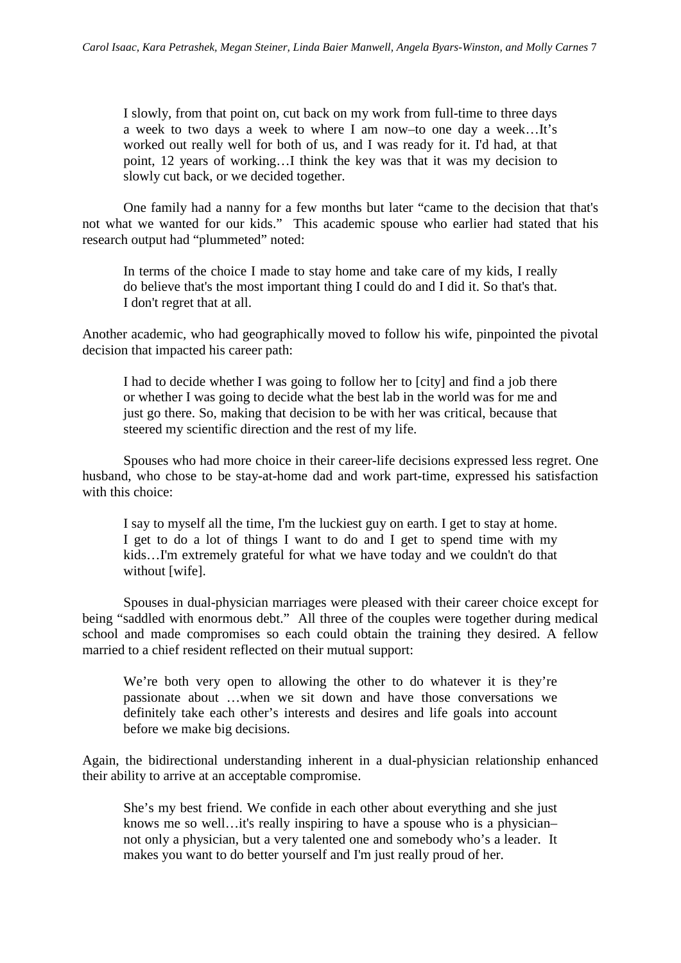I slowly, from that point on, cut back on my work from full-time to three days a week to two days a week to where I am now–to one day a week…It's worked out really well for both of us, and I was ready for it. I'd had, at that point, 12 years of working…I think the key was that it was my decision to slowly cut back, or we decided together.

One family had a nanny for a few months but later "came to the decision that that's not what we wanted for our kids." This academic spouse who earlier had stated that his research output had "plummeted" noted:

In terms of the choice I made to stay home and take care of my kids, I really do believe that's the most important thing I could do and I did it. So that's that. I don't regret that at all.

Another academic, who had geographically moved to follow his wife, pinpointed the pivotal decision that impacted his career path:

I had to decide whether I was going to follow her to [city] and find a job there or whether I was going to decide what the best lab in the world was for me and just go there. So, making that decision to be with her was critical, because that steered my scientific direction and the rest of my life.

Spouses who had more choice in their career-life decisions expressed less regret. One husband, who chose to be stay-at-home dad and work part-time, expressed his satisfaction with this choice:

I say to myself all the time, I'm the luckiest guy on earth. I get to stay at home. I get to do a lot of things I want to do and I get to spend time with my kids…I'm extremely grateful for what we have today and we couldn't do that without [wife].

Spouses in dual-physician marriages were pleased with their career choice except for being "saddled with enormous debt." All three of the couples were together during medical school and made compromises so each could obtain the training they desired. A fellow married to a chief resident reflected on their mutual support:

We're both very open to allowing the other to do whatever it is they're passionate about …when we sit down and have those conversations we definitely take each other's interests and desires and life goals into account before we make big decisions.

Again, the bidirectional understanding inherent in a dual-physician relationship enhanced their ability to arrive at an acceptable compromise.

She's my best friend. We confide in each other about everything and she just knows me so well…it's really inspiring to have a spouse who is a physician– not only a physician, but a very talented one and somebody who's a leader. It makes you want to do better yourself and I'm just really proud of her.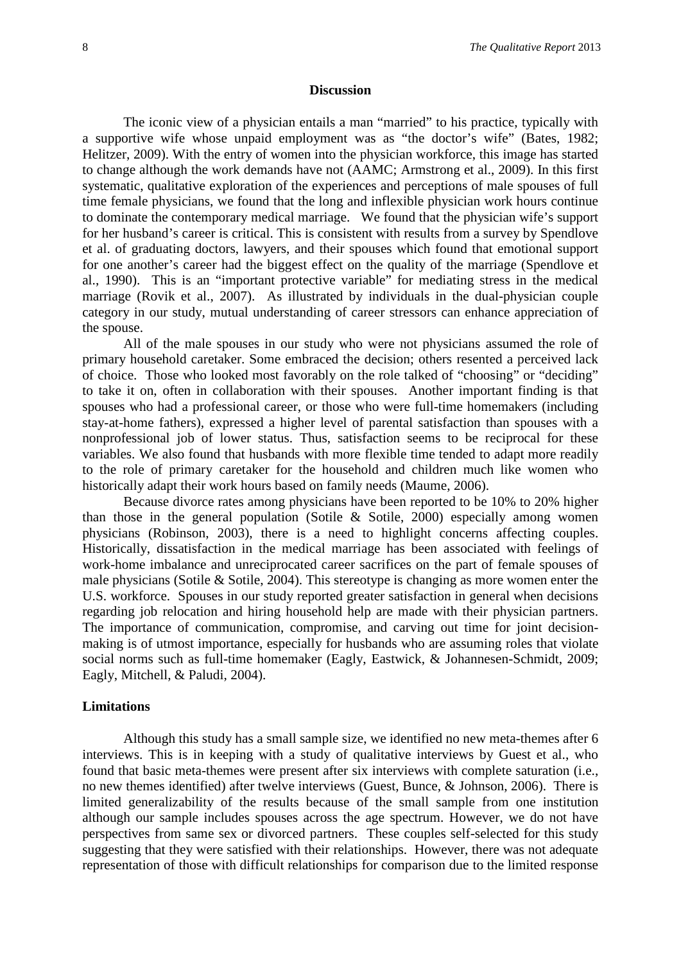#### **Discussion**

The iconic view of a physician entails a man "married" to his practice, typically with a supportive wife whose unpaid employment was as "the doctor's wife" (Bates, 1982; Helitzer, 2009). With the entry of women into the physician workforce, this image has started to change although the work demands have not (AAMC; Armstrong et al., 2009). In this first systematic, qualitative exploration of the experiences and perceptions of male spouses of full time female physicians, we found that the long and inflexible physician work hours continue to dominate the contemporary medical marriage. We found that the physician wife's support for her husband's career is critical. This is consistent with results from a survey by Spendlove et al. of graduating doctors, lawyers, and their spouses which found that emotional support for one another's career had the biggest effect on the quality of the marriage (Spendlove et al., 1990). This is an "important protective variable" for mediating stress in the medical marriage (Rovik et al., 2007). As illustrated by individuals in the dual-physician couple category in our study, mutual understanding of career stressors can enhance appreciation of the spouse.

All of the male spouses in our study who were not physicians assumed the role of primary household caretaker. Some embraced the decision; others resented a perceived lack of choice. Those who looked most favorably on the role talked of "choosing" or "deciding" to take it on, often in collaboration with their spouses. Another important finding is that spouses who had a professional career, or those who were full-time homemakers (including stay-at-home fathers), expressed a higher level of parental satisfaction than spouses with a nonprofessional job of lower status. Thus, satisfaction seems to be reciprocal for these variables. We also found that husbands with more flexible time tended to adapt more readily to the role of primary caretaker for the household and children much like women who historically adapt their work hours based on family needs (Maume, 2006).

Because divorce rates among physicians have been reported to be 10% to 20% higher than those in the general population (Sotile  $\&$  Sotile, 2000) especially among women physicians (Robinson, 2003), there is a need to highlight concerns affecting couples. Historically, dissatisfaction in the medical marriage has been associated with feelings of work-home imbalance and unreciprocated career sacrifices on the part of female spouses of male physicians (Sotile  $\&$  Sotile, 2004). This stereotype is changing as more women enter the U.S. workforce. Spouses in our study reported greater satisfaction in general when decisions regarding job relocation and hiring household help are made with their physician partners. The importance of communication, compromise, and carving out time for joint decisionmaking is of utmost importance, especially for husbands who are assuming roles that violate social norms such as full-time homemaker (Eagly, Eastwick, & Johannesen-Schmidt, 2009; Eagly, Mitchell, & Paludi, 2004).

#### **Limitations**

Although this study has a small sample size, we identified no new meta-themes after 6 interviews. This is in keeping with a study of qualitative interviews by Guest et al., who found that basic meta-themes were present after six interviews with complete saturation (i.e., no new themes identified) after twelve interviews (Guest, Bunce, & Johnson, 2006). There is limited generalizability of the results because of the small sample from one institution although our sample includes spouses across the age spectrum. However, we do not have perspectives from same sex or divorced partners. These couples self-selected for this study suggesting that they were satisfied with their relationships. However, there was not adequate representation of those with difficult relationships for comparison due to the limited response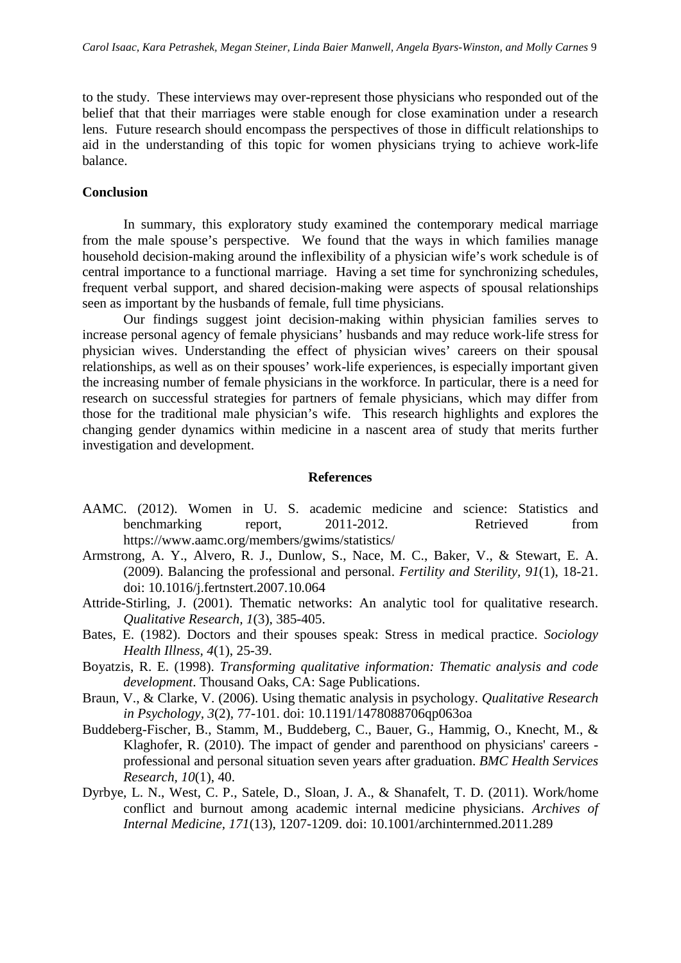to the study. These interviews may over-represent those physicians who responded out of the belief that that their marriages were stable enough for close examination under a research lens. Future research should encompass the perspectives of those in difficult relationships to aid in the understanding of this topic for women physicians trying to achieve work-life balance.

#### **Conclusion**

In summary, this exploratory study examined the contemporary medical marriage from the male spouse's perspective. We found that the ways in which families manage household decision-making around the inflexibility of a physician wife's work schedule is of central importance to a functional marriage. Having a set time for synchronizing schedules, frequent verbal support, and shared decision-making were aspects of spousal relationships seen as important by the husbands of female, full time physicians.

Our findings suggest joint decision-making within physician families serves to increase personal agency of female physicians' husbands and may reduce work-life stress for physician wives. Understanding the effect of physician wives' careers on their spousal relationships, as well as on their spouses' work-life experiences, is especially important given the increasing number of female physicians in the workforce. In particular, there is a need for research on successful strategies for partners of female physicians, which may differ from those for the traditional male physician's wife. This research highlights and explores the changing gender dynamics within medicine in a nascent area of study that merits further investigation and development.

#### **References**

- AAMC. (2012). Women in U. S. academic medicine and science: Statistics and benchmarking report, 2011-2012. Retrieved from https://www.aamc.org/members/gwims/statistics/
- Armstrong, A. Y., Alvero, R. J., Dunlow, S., Nace, M. C., Baker, V., & Stewart, E. A. (2009). Balancing the professional and personal. *Fertility and Sterility, 91*(1), 18-21. doi: 10.1016/j.fertnstert.2007.10.064
- Attride-Stirling, J. (2001). Thematic networks: An analytic tool for qualitative research. *Qualitative Research, 1*(3), 385-405.
- Bates, E. (1982). Doctors and their spouses speak: Stress in medical practice. *Sociology Health Illness, 4*(1), 25-39.
- Boyatzis, R. E. (1998). *Transforming qualitative information: Thematic analysis and code development*. Thousand Oaks, CA: Sage Publications.
- Braun, V., & Clarke, V. (2006). Using thematic analysis in psychology. *Qualitative Research in Psychology, 3*(2), 77-101. doi: 10.1191/1478088706qp063oa
- Buddeberg-Fischer, B., Stamm, M., Buddeberg, C., Bauer, G., Hammig, O., Knecht, M., & Klaghofer, R. (2010). The impact of gender and parenthood on physicians' careers professional and personal situation seven years after graduation. *BMC Health Services Research, 10*(1), 40.
- Dyrbye, L. N., West, C. P., Satele, D., Sloan, J. A., & Shanafelt, T. D. (2011). Work/home conflict and burnout among academic internal medicine physicians. *Archives of Internal Medicine, 171*(13), 1207-1209. doi: 10.1001/archinternmed.2011.289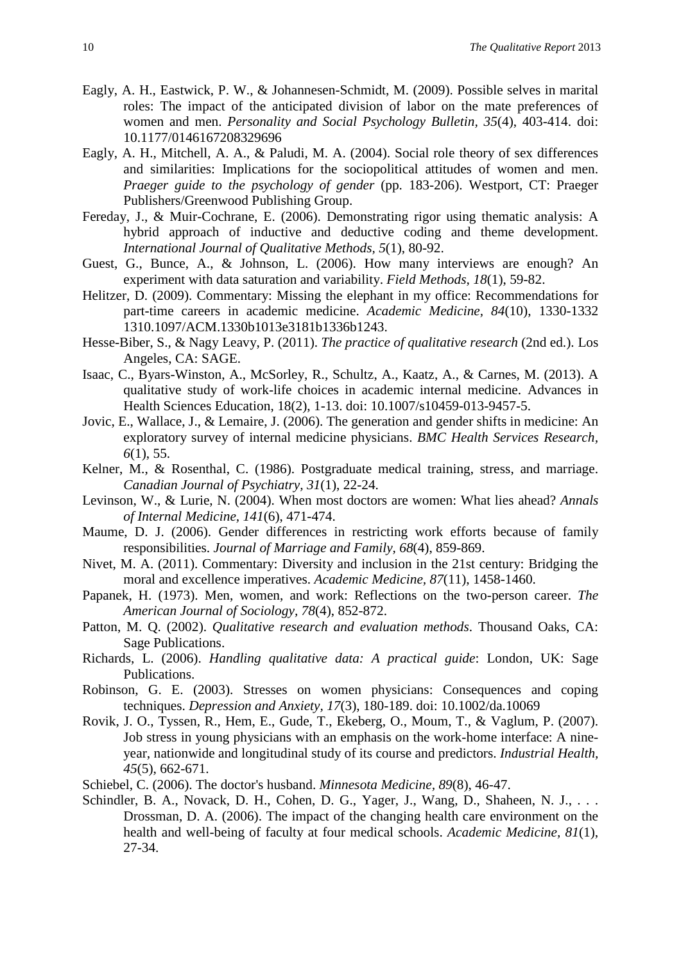- Eagly, A. H., Eastwick, P. W., & Johannesen-Schmidt, M. (2009). Possible selves in marital roles: The impact of the anticipated division of labor on the mate preferences of women and men. *Personality and Social Psychology Bulletin, 35*(4), 403-414. doi: 10.1177/0146167208329696
- Eagly, A. H., Mitchell, A. A., & Paludi, M. A. (2004). Social role theory of sex differences and similarities: Implications for the sociopolitical attitudes of women and men. *Praeger guide to the psychology of gender* (pp. 183-206). Westport, CT: Praeger Publishers/Greenwood Publishing Group.
- Fereday, J., & Muir-Cochrane, E. (2006). Demonstrating rigor using thematic analysis: A hybrid approach of inductive and deductive coding and theme development. *International Journal of Qualitative Methods, 5*(1), 80-92.
- Guest, G., Bunce, A., & Johnson, L. (2006). How many interviews are enough? An experiment with data saturation and variability. *Field Methods, 18*(1), 59-82.
- Helitzer, D. (2009). Commentary: Missing the elephant in my office: Recommendations for part-time careers in academic medicine. *Academic Medicine, 84*(10), 1330-1332 1310.1097/ACM.1330b1013e3181b1336b1243.
- Hesse-Biber, S., & Nagy Leavy, P. (2011). *The practice of qualitative research* (2nd ed.). Los Angeles, CA: SAGE.
- Isaac, C., Byars-Winston, A., McSorley, R., Schultz, A., Kaatz, A., & Carnes, M. (2013). A qualitative study of work-life choices in academic internal medicine. Advances in Health Sciences Education, 18(2), 1-13. doi: 10.1007/s10459-013-9457-5.
- Jovic, E., Wallace, J., & Lemaire, J. (2006). The generation and gender shifts in medicine: An exploratory survey of internal medicine physicians. *BMC Health Services Research, 6*(1), 55.
- Kelner, M., & Rosenthal, C. (1986). Postgraduate medical training, stress, and marriage. *Canadian Journal of Psychiatry, 31*(1), 22-24.
- Levinson, W., & Lurie, N. (2004). When most doctors are women: What lies ahead? *Annals of Internal Medicine, 141*(6), 471-474.
- Maume, D. J. (2006). Gender differences in restricting work efforts because of family responsibilities. *Journal of Marriage and Family, 68*(4), 859-869.
- Nivet, M. A. (2011). Commentary: Diversity and inclusion in the 21st century: Bridging the moral and excellence imperatives. *Academic Medicine, 87*(11), 1458-1460.
- Papanek, H. (1973). Men, women, and work: Reflections on the two-person career. *The American Journal of Sociology, 78*(4), 852-872.
- Patton, M. Q. (2002). *Qualitative research and evaluation methods*. Thousand Oaks, CA: Sage Publications.
- Richards, L. (2006). *Handling qualitative data: A practical guide*: London, UK: Sage Publications.
- Robinson, G. E. (2003). Stresses on women physicians: Consequences and coping techniques. *Depression and Anxiety, 17*(3), 180-189. doi: 10.1002/da.10069
- Rovik, J. O., Tyssen, R., Hem, E., Gude, T., Ekeberg, O., Moum, T., & Vaglum, P. (2007). Job stress in young physicians with an emphasis on the work-home interface: A nineyear, nationwide and longitudinal study of its course and predictors. *Industrial Health, 45*(5), 662-671.
- Schiebel, C. (2006). The doctor's husband. *Minnesota Medicine, 89*(8), 46-47.
- Schindler, B. A., Novack, D. H., Cohen, D. G., Yager, J., Wang, D., Shaheen, N. J., . . . Drossman, D. A. (2006). The impact of the changing health care environment on the health and well-being of faculty at four medical schools. *Academic Medicine, 81*(1), 27-34.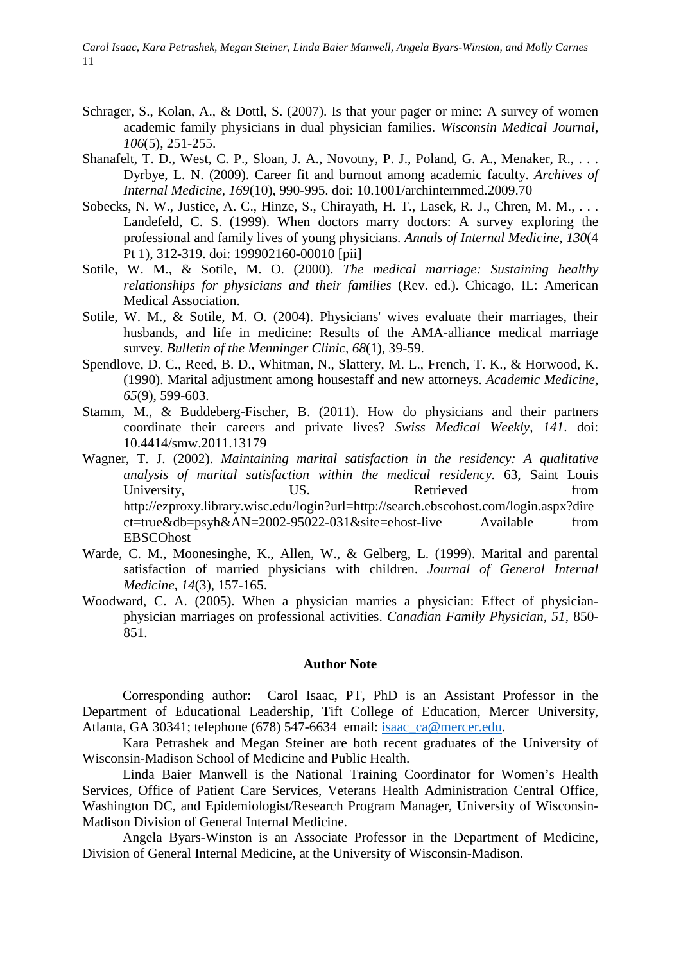*Carol Isaac, Kara Petrashek, Megan Steiner, Linda Baier Manwell, Angela Byars-Winston, and Molly Carnes*  11

- Schrager, S., Kolan, A., & Dottl, S. (2007). Is that your pager or mine: A survey of women academic family physicians in dual physician families. *Wisconsin Medical Journal, 106*(5), 251-255.
- Shanafelt, T. D., West, C. P., Sloan, J. A., Novotny, P. J., Poland, G. A., Menaker, R., ... Dyrbye, L. N. (2009). Career fit and burnout among academic faculty. *Archives of Internal Medicine, 169*(10), 990-995. doi: 10.1001/archinternmed.2009.70
- Sobecks, N. W., Justice, A. C., Hinze, S., Chirayath, H. T., Lasek, R. J., Chren, M. M., ... Landefeld, C. S. (1999). When doctors marry doctors: A survey exploring the professional and family lives of young physicians. *Annals of Internal Medicine, 130*(4 Pt 1), 312-319. doi: 199902160-00010 [pii]
- Sotile, W. M., & Sotile, M. O. (2000). *The medical marriage: Sustaining healthy relationships for physicians and their families* (Rev. ed.). Chicago, IL: American Medical Association.
- Sotile, W. M., & Sotile, M. O. (2004). Physicians' wives evaluate their marriages, their husbands, and life in medicine: Results of the AMA-alliance medical marriage survey. *Bulletin of the Menninger Clinic, 68*(1), 39-59.
- Spendlove, D. C., Reed, B. D., Whitman, N., Slattery, M. L., French, T. K., & Horwood, K. (1990). Marital adjustment among housestaff and new attorneys. *Academic Medicine, 65*(9), 599-603.
- Stamm, M., & Buddeberg-Fischer, B. (2011). How do physicians and their partners coordinate their careers and private lives? *Swiss Medical Weekly, 141*. doi: 10.4414/smw.2011.13179
- Wagner, T. J. (2002). *Maintaining marital satisfaction in the residency: A qualitative analysis of marital satisfaction within the medical residency.* 63, Saint Louis University, US. US. Retrieved from http://ezproxy.library.wisc.edu/login?url=http://search.ebscohost.com/login.aspx?dire ct=true&db=psyh&AN=2002-95022-031&site=ehost-live Available from EBSCOhost
- Warde, C. M., Moonesinghe, K., Allen, W., & Gelberg, L. (1999). Marital and parental satisfaction of married physicians with children. *Journal of General Internal Medicine, 14*(3), 157-165.
- Woodward, C. A. (2005). When a physician marries a physician: Effect of physicianphysician marriages on professional activities. *Canadian Family Physician, 51*, 850- 851.

#### **Author Note**

Corresponding author: Carol Isaac, PT, PhD is an Assistant Professor in the Department of Educational Leadership, Tift College of Education, Mercer University, Atlanta, GA 30341; telephone (678) 547-6634 email: [isaac\\_ca@mercer.edu.](mailto:isaac_ca@mercer.edu)

Kara Petrashek and Megan Steiner are both recent graduates of the University of Wisconsin-Madison School of Medicine and Public Health.

Linda Baier Manwell is the National Training Coordinator for Women's Health Services, Office of Patient Care Services, Veterans Health Administration Central Office, Washington DC, and Epidemiologist/Research Program Manager, University of Wisconsin-Madison Division of General Internal Medicine.

Angela Byars-Winston is an Associate Professor in the Department of Medicine, Division of General Internal Medicine, at the University of Wisconsin-Madison.